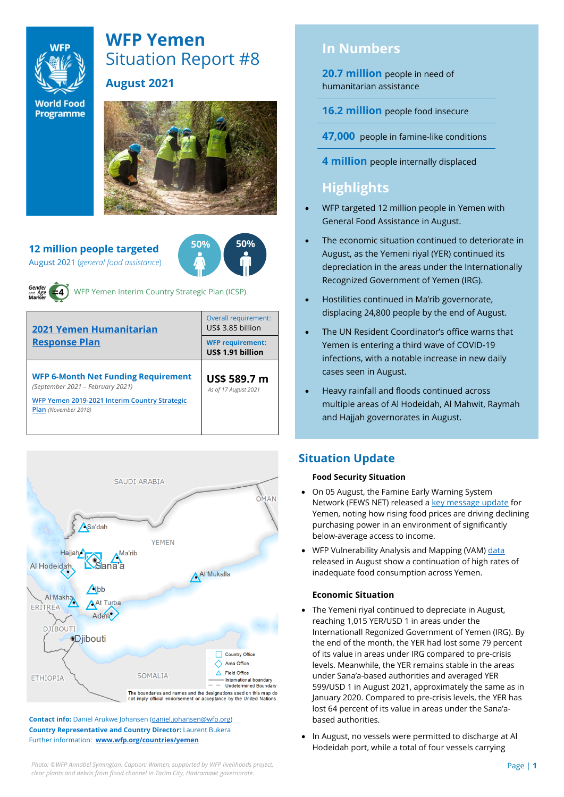

# **WFP Yemen** Situation Report #8

# **August 2021**

**World Food Programme** 



**12 million people targeted** August 2021 (*general food assistance*)





WFP Yemen Interim Country Strategic Plan (ICSP)

| 2021 Yemen Humanitarian<br><b>Response Plan</b>                                                                                                                | Overall requirement:<br>US\$ 3.85 billion    |  |  |
|----------------------------------------------------------------------------------------------------------------------------------------------------------------|----------------------------------------------|--|--|
|                                                                                                                                                                | <b>WFP requirement:</b><br>US\$ 1.91 billion |  |  |
| <b>WFP 6-Month Net Funding Requirement</b><br>(September 2021 - February 2021)<br>WFP Yemen 2019-2021 Interim Country Strategic<br><b>Plan</b> (November 2018) | US\$ 589.7 m<br>As of 17 August 2021         |  |  |



**Contact info:** Daniel Arukwe Johansen [\(daniel.johansen@wfp.org\)](mailto:daniel.johansen@wfp.org) **Country Representative and Country Director:** Laurent Bukera Further information: **[www.wfp.org/countries/yemen](http://www.wfp.org/countries/yemen)**

# **In Numbers**

**20.7 million** people in need of humanitarian assistance

**16.2 million** people food insecure

**47,000** people in famine-like conditions

**4 million** people internally displaced

# **Highlights**

- WFP targeted 12 million people in Yemen with General Food Assistance in August.
- The economic situation continued to deteriorate in August, as the Yemeni riyal (YER) continued its depreciation in the areas under the Internationally Recognized Government of Yemen (IRG).
- Hostilities continued in Ma'rib governorate, displacing 24,800 people by the end of August.
- The UN Resident Coordinator's office warns that Yemen is entering a third wave of COVID-19 infections, with a notable increase in new daily cases seen in August.
- Heavy rainfall and floods continued across multiple areas of Al Hodeidah, Al Mahwit, Raymah and Hajjah governorates in August.

# **Situation Update**

### **Food Security Situation**

- On 05 August, the Famine Early Warning System Network (FEWS NET) released a [key message update](https://fews.net/east-africa/yemen/key-message-update/july-2021) for Yemen, noting how rising food prices are driving declining purchasing power in an environment of significantly below-average access to income.
- WFP Vulnerability Analysis and Mapping (VAM[\) data](https://reliefweb.int/report/yemen/wfp-yemen-food-security-update-august-2021) released in August show a continuation of high rates of inadequate food consumption across Yemen.

## **Economic Situation**

- The Yemeni riyal continued to depreciate in August, reaching 1,015 YER/USD 1 in areas under the Internationall Regonized Government of Yemen (IRG). By the end of the month, the YER had lost some 79 percent of its value in areas under IRG compared to pre-crisis levels. Meanwhile, the YER remains stable in the areas under Sana'a-based authorities and averaged YER 599/USD 1 in August 2021, approximately the same as in January 2020. Compared to pre-crisis levels, the YER has lost 64 percent of its value in areas under the Sana'abased authorities.
- In August, no vessels were permitted to discharge at Al Hodeidah port, while a total of four vessels carrying

**Photo: ©WFP Annabel Symington, Caption: Women, supported by WFP livelihoods project, <b>Page 11 Page | 1** *clear plants and debris from flood channel in Tarim City, Hadramawt governorate.*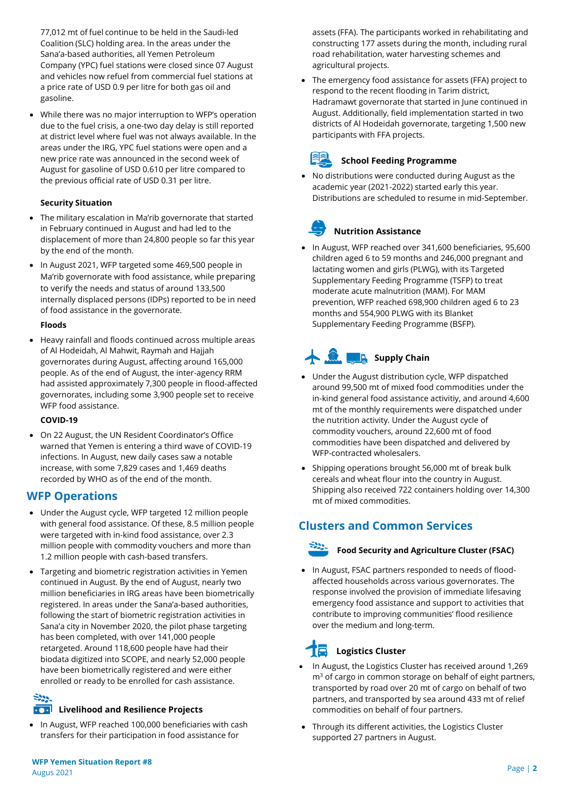• While there was no major interruption to WFP's operation due to the fuel crisis, a one-two day delay is still reported at district level where fuel was not always available. In the areas under the IRG, YPC fuel stations were open and a new price rate was announced in the second week of August for gasoline of USD 0.610 per litre compared to the previous official rate of USD 0.31 per litre.

### **Security Situation**

- The military escalation in Ma'rib governorate that started in February continued in August and had led to the displacement of more than 24,800 people so far this year by the end of the month.
- In August 2021, WFP targeted some 469,500 people in Ma'rib governorate with food assistance, while preparing to verify the needs and status of around 133,500 internally displaced persons (IDPs) reported to be in need of food assistance in the governorate.

### **Floods**

• Heavy rainfall and floods continued across multiple areas of Al Hodeidah, Al Mahwit, Raymah and Hajjah governorates during August, affecting around 165,000 people. As of the end of August, the inter-agency RRM had assisted approximately 7,300 people in flood-affected governorates, including some 3,900 people set to receive WFP food assistance.

### **COVID-19**

• On 22 August, the UN Resident Coordinator's Office warned that Yemen is entering a third wave of COVID-19 infections. In August, new daily cases saw a notable increase, with some 7,829 cases and 1,469 deaths recorded by WHO as of the end of the month.

## **WFP Operations**

- Under the August cycle, WFP targeted 12 million people with general food assistance. Of these, 8.5 million people were targeted with in-kind food assistance, over 2.3 million people with commodity vouchers and more than 1.2 million people with cash-based transfers.
- Targeting and biometric registration activities in Yemen continued in August. By the end of August, nearly two million beneficiaries in IRG areas have been biometrically registered. In areas under the Sana'a-based authorities, following the start of biometric registration activities in Sana'a city in November 2020, the pilot phase targeting has been completed, with over 141,000 people retargeted. Around 118,600 people have had their biodata digitized into SCOPE, and nearly 52,000 people have been biometrically registered and were either enrolled or ready to be enrolled for cash assistance.

# $\mathbb{R}^{n}$

## **Livelihood and Resilience Projects**

• In August, WFP reached 100,000 beneficiaries with cash transfers for their participation in food assistance for

assets (FFA). The participants worked in rehabilitating and constructing 177 assets during the month, including rural road rehabilitation, water harvesting schemes and agricultural projects.

• The emergency food assistance for assets (FFA) project to respond to the recent flooding in Tarim district, Hadramawt governorate that started in June continued in August. Additionally, field implementation started in two districts of Al Hodeidah governorate, targeting 1,500 new participants with FFA projects.

# **School Feeding Programme**

• No distributions were conducted during August as the academic year (2021-2022) started early this year. Distributions are scheduled to resume in mid-September.

# **Nutrition Assistance**

• In August, WFP reached over 341,600 beneficiaries, 95,600 children aged 6 to 59 months and 246,000 pregnant and lactating women and girls (PLWG), with its Targeted Supplementary Feeding Programme (TSFP) to treat moderate acute malnutrition (MAM). For MAM prevention, WFP reached 698,900 children aged 6 to 23 months and 554,900 PLWG with its Blanket Supplementary Feeding Programme (BSFP).

# **Supply Chain**

- Under the August distribution cycle, WFP dispatched around 99,500 mt of mixed food commodities under the in-kind general food assistance activitiy, and around 4,600 mt of the monthly requirements were dispatched under the nutrition activity. Under the August cycle of commodity vouchers, around 22,600 mt of food commodities have been dispatched and delivered by WFP-contracted wholesalers.
- Shipping operations brought 56,000 mt of break bulk cereals and wheat flour into the country in August. Shipping also received 722 containers holding over 14,300 mt of mixed commodities.

# **Clusters and Common Services**



## **Food Security and Agriculture Cluster (FSAC)**

• In August, FSAC partners responded to needs of floodaffected households across various governorates. The response involved the provision of immediate lifesaving emergency food assistance and support to activities that contribute to improving communities' flood resilience over the medium and long-term.

# **Logistics Cluster**

- In August, the Logistics Cluster has received around 1,269  $m<sup>3</sup>$  of cargo in common storage on behalf of eight partners, transported by road over 20 mt of cargo on behalf of two partners, and transported by sea around 433 mt of relief commodities on behalf of four partners.
- Through its different activities, the Logistics Cluster supported 27 partners in August.